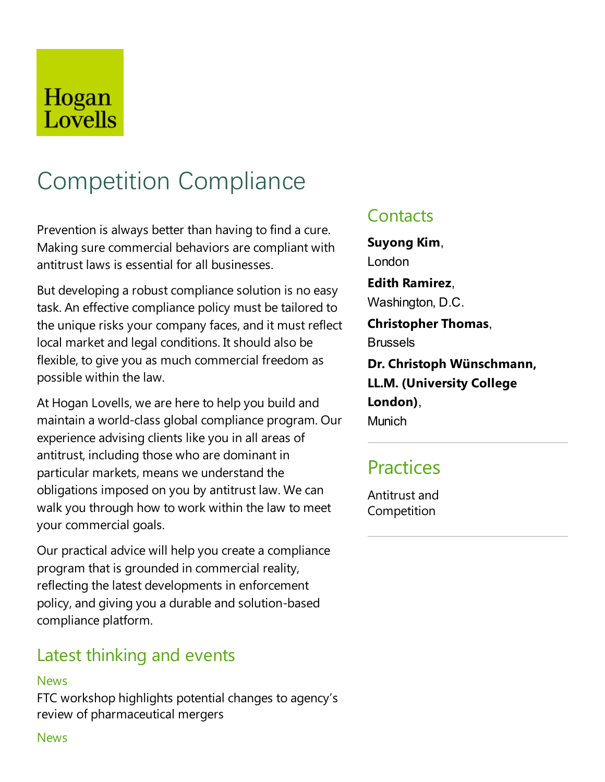# Hogan Lovells

# Competition Compliance

Prevention is always better than having to find a cure. Making sure commercial behaviors are compliant with antitrust laws is essential for all businesses.

But developing a robust compliance solution is no easy task. An effective compliance policy must be tailored to the unique risks your company faces, and it must reflect local market and legal conditions. It should also be flexible, to give you as much commercial freedom as possible within the law.

At Hogan Lovells, we are here to help you build and maintain a world-class global compliance program. Our experience advising clients like you in all areas of antitrust, including those who are dominant in particular markets, means we understand the obligations imposed on you by antitrust law. Wecan walk you through how to work within the law to meet your commercial goals.

Our practical advice will help you create a compliance program that is grounded in commercial reality, reflecting the latest developments in enforcement policy, and giving you a durable and solution-based compliance platform.

## Latest thinking and events

#### **News**

FTC workshop highlights potential changes to agency's review of pharmaceutical mergers

## **Contacts**

**Suyong Kim**, London **Edith Ramirez**, Washington, D.C. **Christopher Thomas**, **Brussels Dr. Christoph Wünschmann, LL.M. (University College London)**, **Munich** 

## **Practices**

Antitrust and **Competition** 

#### **News**